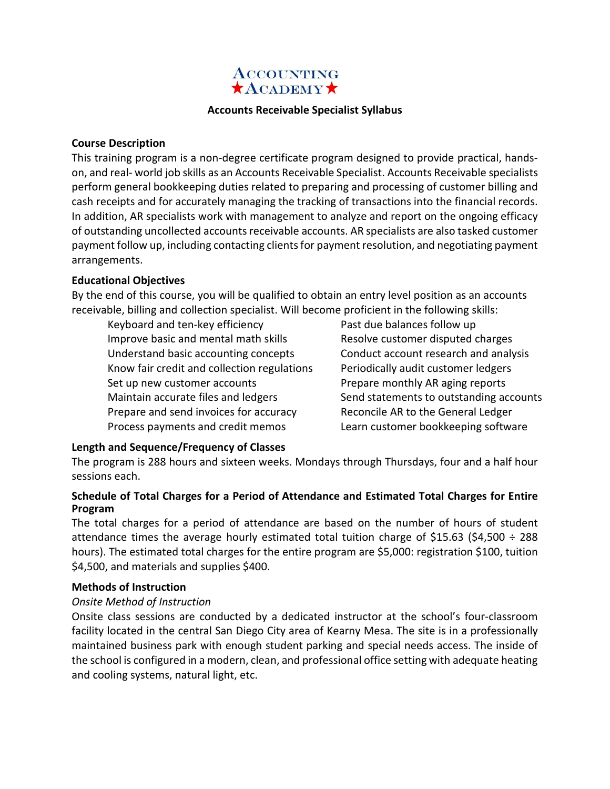

## **Accounts Receivable Specialist Syllabus**

# **Course Description**

This training program is a non-degree certificate program designed to provide practical, handson, and real- world job skills as an Accounts Receivable Specialist. Accounts Receivable specialists perform general bookkeeping duties related to preparing and processing of customer billing and cash receipts and for accurately managing the tracking of transactions into the financial records. In addition, AR specialists work with management to analyze and report on the ongoing efficacy of outstanding uncollected accounts receivable accounts. AR specialists are also tasked customer payment follow up, including contacting clients for payment resolution, and negotiating payment arrangements.

### **Educational Objectives**

By the end of this course, you will be qualified to obtain an entry level position as an accounts receivable, billing and collection specialist. Will become proficient in the following skills:

- Keyboard and ten-key efficiency Improve basic and mental math skills Understand basic accounting concepts Know fair credit and collection regulations Set up new customer accounts Maintain accurate files and ledgers Prepare and send invoices for accuracy Process payments and credit memos
- Past due balances follow up Resolve customer disputed charges Conduct account research and analysis Periodically audit customer ledgers Prepare monthly AR aging reports Send statements to outstanding accounts Reconcile AR to the General Ledger Learn customer bookkeeping software

# **Length and Sequence/Frequency of Classes**

The program is 288 hours and sixteen weeks. Mondays through Thursdays, four and a half hour sessions each.

# **Schedule of Total Charges for a Period of Attendance and Estimated Total Charges for Entire Program**

The total charges for a period of attendance are based on the number of hours of student attendance times the average hourly estimated total tuition charge of \$15.63 (\$4,500  $\div$  288 hours). The estimated total charges for the entire program are \$5,000: registration \$100, tuition \$4,500, and materials and supplies \$400.

#### **Methods of Instruction**

# *Onsite Method of Instruction*

Onsite class sessions are conducted by a dedicated instructor at the school's four-classroom facility located in the central San Diego City area of Kearny Mesa. The site is in a professionally maintained business park with enough student parking and special needs access. The inside of the school is configured in a modern, clean, and professional office setting with adequate heating and cooling systems, natural light, etc.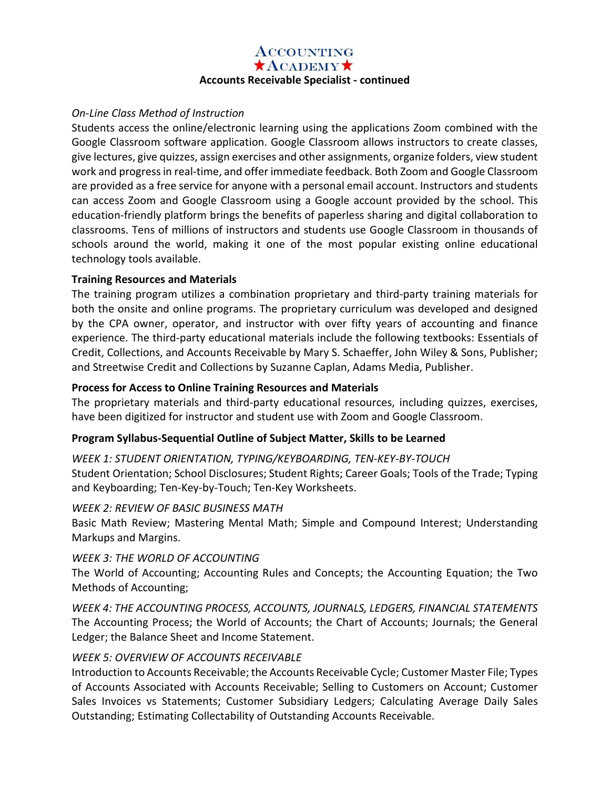# **ACCOUNTING**  $\star$ ACADEMY $\star$ **Accounts Receivable Specialist - continued**

# *On-Line Class Method of Instruction*

Students access the online/electronic learning using the applications Zoom combined with the Google Classroom software application. Google Classroom allows instructors to create classes, give lectures, give quizzes, assign exercises and other assignments, organize folders, view student work and progress in real-time, and offer immediate feedback. Both Zoom and Google Classroom are provided as a free service for anyone with a personal email account. Instructors and students can access Zoom and Google Classroom using a Google account provided by the school. This education-friendly platform brings the benefits of paperless sharing and digital collaboration to classrooms. Tens of millions of instructors and students use Google Classroom in thousands of schools around the world, making it one of the most popular existing online educational technology tools available.

# **Training Resources and Materials**

The training program utilizes a combination proprietary and third-party training materials for both the onsite and online programs. The proprietary curriculum was developed and designed by the CPA owner, operator, and instructor with over fifty years of accounting and finance experience. The third-party educational materials include the following textbooks: Essentials of Credit, Collections, and Accounts Receivable by Mary S. Schaeffer, John Wiley & Sons, Publisher; and Streetwise Credit and Collections by Suzanne Caplan, Adams Media, Publisher.

# **Process for Access to Online Training Resources and Materials**

The proprietary materials and third-party educational resources, including quizzes, exercises, have been digitized for instructor and student use with Zoom and Google Classroom.

# **Program Syllabus-Sequential Outline of Subject Matter, Skills to be Learned**

# *WEEK 1: STUDENT ORIENTATION, TYPING/KEYBOARDING, TEN-KEY-BY-TOUCH*

Student Orientation; School Disclosures; Student Rights; Career Goals; Tools of the Trade; Typing and Keyboarding; Ten-Key-by-Touch; Ten-Key Worksheets.

# *WEEK 2: REVIEW OF BASIC BUSINESS MATH*

Basic Math Review; Mastering Mental Math; Simple and Compound Interest; Understanding Markups and Margins.

# *WEEK 3: THE WORLD OF ACCOUNTING*

The World of Accounting; Accounting Rules and Concepts; the Accounting Equation; the Two Methods of Accounting;

*WEEK 4: THE ACCOUNTING PROCESS, ACCOUNTS, JOURNALS, LEDGERS, FINANCIAL STATEMENTS*  The Accounting Process; the World of Accounts; the Chart of Accounts; Journals; the General Ledger; the Balance Sheet and Income Statement.

# *WEEK 5: OVERVIEW OF ACCOUNTS RECEIVABLE*

Introduction to Accounts Receivable; the Accounts Receivable Cycle; Customer Master File; Types of Accounts Associated with Accounts Receivable; Selling to Customers on Account; Customer Sales Invoices vs Statements; Customer Subsidiary Ledgers; Calculating Average Daily Sales Outstanding; Estimating Collectability of Outstanding Accounts Receivable.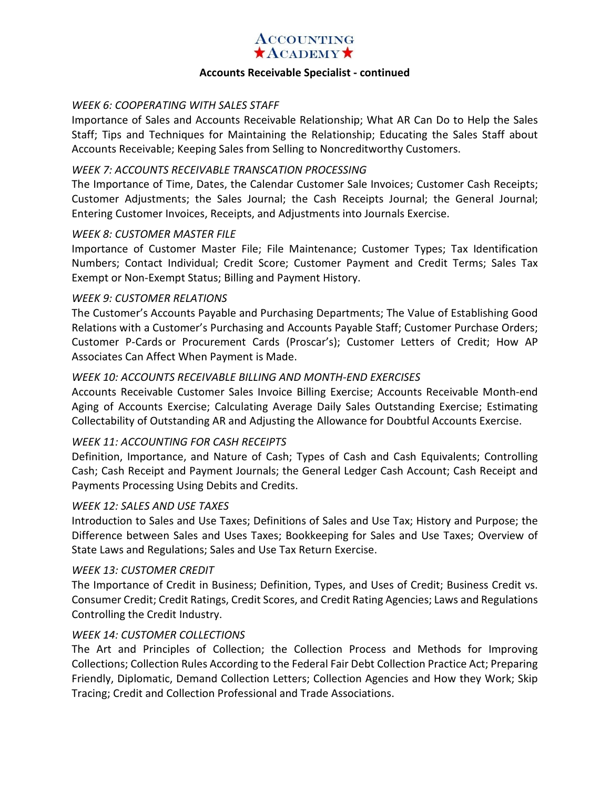

#### **Accounts Receivable Specialist - continued**

# *WEEK 6: COOPERATING WITH SALES STAFF*

Importance of Sales and Accounts Receivable Relationship; What AR Can Do to Help the Sales Staff; Tips and Techniques for Maintaining the Relationship; Educating the Sales Staff about Accounts Receivable; Keeping Sales from Selling to Noncreditworthy Customers.

# *WEEK 7: ACCOUNTS RECEIVABLE TRANSCATION PROCESSING*

The Importance of Time, Dates, the Calendar Customer Sale Invoices; Customer Cash Receipts; Customer Adjustments; the Sales Journal; the Cash Receipts Journal; the General Journal; Entering Customer Invoices, Receipts, and Adjustments into Journals Exercise.

### *WEEK 8: CUSTOMER MASTER FILE*

Importance of Customer Master File; File Maintenance; Customer Types; Tax Identification Numbers; Contact Individual; Credit Score; Customer Payment and Credit Terms; Sales Tax Exempt or Non-Exempt Status; Billing and Payment History.

### *WEEK 9: CUSTOMER RELATIONS*

The Customer's Accounts Payable and Purchasing Departments; The Value of Establishing Good Relations with a Customer's Purchasing and Accounts Payable Staff; Customer Purchase Orders; Customer P-Cards or Procurement Cards (Proscar's); Customer Letters of Credit; How AP Associates Can Affect When Payment is Made.

# *WEEK 10: ACCOUNTS RECEIVABLE BILLING AND MONTH-END EXERCISES*

Accounts Receivable Customer Sales Invoice Billing Exercise; Accounts Receivable Month-end Aging of Accounts Exercise; Calculating Average Daily Sales Outstanding Exercise; Estimating Collectability of Outstanding AR and Adjusting the Allowance for Doubtful Accounts Exercise.

# *WEEK 11: ACCOUNTING FOR CASH RECEIPTS*

Definition, Importance, and Nature of Cash; Types of Cash and Cash Equivalents; Controlling Cash; Cash Receipt and Payment Journals; the General Ledger Cash Account; Cash Receipt and Payments Processing Using Debits and Credits.

#### *WEEK 12: SALES AND USE TAXES*

Introduction to Sales and Use Taxes; Definitions of Sales and Use Tax; History and Purpose; the Difference between Sales and Uses Taxes; Bookkeeping for Sales and Use Taxes; Overview of State Laws and Regulations; Sales and Use Tax Return Exercise.

#### *WEEK 13: CUSTOMER CREDIT*

The Importance of Credit in Business; Definition, Types, and Uses of Credit; Business Credit vs. Consumer Credit; Credit Ratings, Credit Scores, and Credit Rating Agencies; Laws and Regulations Controlling the Credit Industry.

# *WEEK 14: CUSTOMER COLLECTIONS*

The Art and Principles of Collection; the Collection Process and Methods for Improving Collections; Collection Rules According to the Federal Fair Debt Collection Practice Act; Preparing Friendly, Diplomatic, Demand Collection Letters; Collection Agencies and How they Work; Skip Tracing; Credit and Collection Professional and Trade Associations.